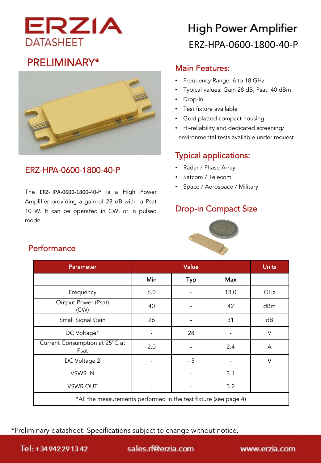

### PRELIMINARY\*



### ERZ-HPA-0600-1800-40-P

The ERZ-HPA-0600-1800-40-P is a High Power Amplifier providing a gain of 28 dB with a Psat 10 W. It can be operated in CW, or in pulsed mode.

# **High Power Amplifier** ERZ-HPA-0600-1800-40-P

#### Main Features:

- Frequency Range: 6 to 18 GHz.
- Typical values: Gain 28 dB, Psat: 40 dBm
- Drop-in
- Test fixture available
- Gold platted compact housing
- Hi-reliability and dedicated screening/ environmental tests available under request

### Typical applications:

- Radar / Phase Array
- Satcom / Telecom
- Space / Aerospace / Military

### Drop-in Compact Size



| <b>Parameter</b>                                                 | Value |      |      | <b>Units</b> |
|------------------------------------------------------------------|-------|------|------|--------------|
|                                                                  | Min   | Typ  | Max  |              |
| Frequency                                                        | 6.0   |      | 18.0 | GHz          |
| Output Power (Psat)<br>(CW)                                      | 40    |      | 42   | dBm          |
| Small Signal Gain                                                | 26    |      | 31   | dB           |
| DC Voltage1                                                      |       | 28   |      | $\vee$       |
| Current Consumption at 25°C at<br>Psat                           | 2.0   |      | 2.4  | A            |
| DC Voltage 2                                                     |       | $-5$ |      | $\vee$       |
| <b>VSWR IN</b>                                                   |       |      | 3.1  |              |
| <b>VSWR OUT</b>                                                  |       |      | 3.2  |              |
| *All the measurements performed in the test fixture (see page 4) |       |      |      |              |

\*Preliminary datasheet. Specifications subject to change without notice.

#### **Performance**

Tel: +34942291342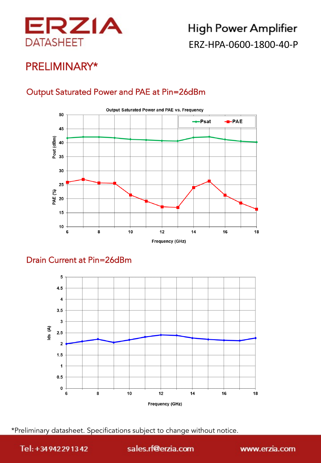

### PRELIMINARY\*

### Output Saturated Power and PAE at Pin=26dBm



### Drain Current at Pin=26dBm



\*Preliminary datasheet. Specifications subject to change without notice.

Tel: +34942291342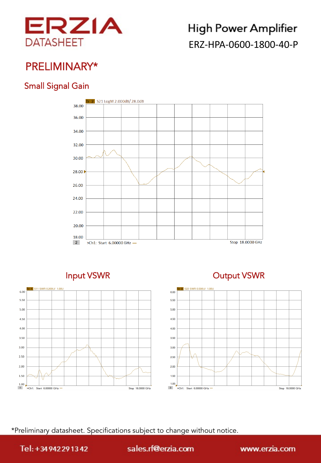

## PRELIMINARY\*

### Small Signal Gain





### Input VSWR **Output VSWR**



\*Preliminary datasheet. Specifications subject to change without notice.

Tel: +34942291342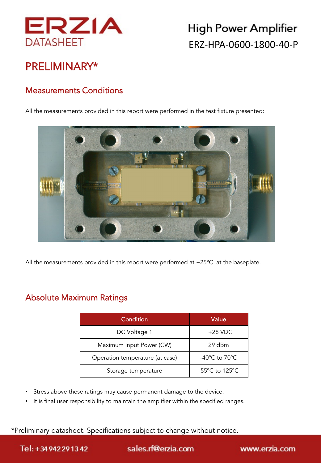

## PRELIMINARY\*

### Measurements Conditions

All the measurements provided in this report were performed in the test fixture presented:



All the measurements provided in this report were performed at +25ºC at the baseplate.

### Absolute Maximum Ratings

| Condition                       | Value                               |
|---------------------------------|-------------------------------------|
| DC Voltage 1                    | $+28$ VDC                           |
| Maximum Input Power (CW)        | 29 dBm                              |
| Operation temperature (at case) | -40°C to 70°C                       |
| Storage temperature             | $-55^{\circ}$ C to 125 $^{\circ}$ C |

- Stress above these ratings may cause permanent damage to the device.
- It is final user responsibility to maintain the amplifier within the specified ranges.

\*Preliminary datasheet. Specifications subject to change without notice.

Tel: +34942291342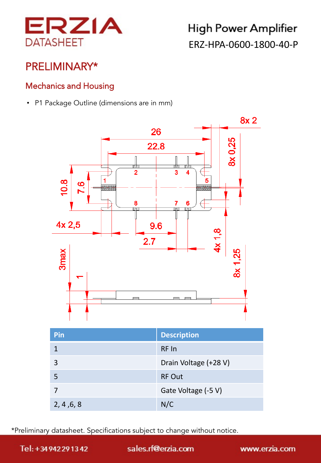

## PRELIMINARY\*

### Mechanics and Housing

• P1 Package Outline (dimensions are in mm)



| Pin        | <b>Description</b>    |
|------------|-----------------------|
|            | RF In                 |
| 3          | Drain Voltage (+28 V) |
| 5          | <b>RF Out</b>         |
|            | Gate Voltage (-5 V)   |
| 2, 4, 6, 8 | N/C                   |

\*Preliminary datasheet. Specifications subject to change without notice.

Tel: +34942291342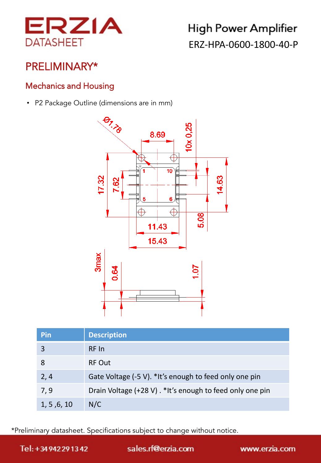

## PRELIMINARY\*

### Mechanics and Housing

• P2 Package Outline (dimensions are in mm)



| Pin         | <b>Description</b>                                       |
|-------------|----------------------------------------------------------|
| 3           | RF In                                                    |
|             | <b>RF Out</b>                                            |
| 2, 4        | Gate Voltage (-5 V). *It's enough to feed only one pin   |
| 7, 9        | Drain Voltage (+28 V). *It's enough to feed only one pin |
| 1, 5, 6, 10 | N/C                                                      |

\*Preliminary datasheet. Specifications subject to change without notice.

Tel: +34942291342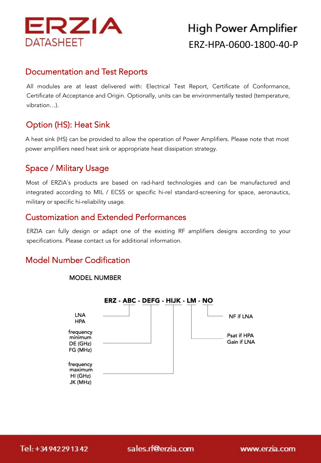

#### Documentation and Test Reports

All modules are at least delivered with: Electrical Test Report, Certificate of Conformance, Certificate of Acceptance and Origin. Optionally, units can be environmentally tested (temperature, vibration…).

### Option (HS): Heat Sink

A heat sink (HS) can be provided to allow the operation of Power Amplifiers. Please note that most power amplifiers need heat sink or appropriate heat dissipation strategy.

### Space / Military Usage

Most of ERZIA´s products are based on rad-hard technologies and can be manufactured and integrated according to MIL / ECSS or specific hi-rel standard-screening for space, aeronautics, military or specific hi-reliability usage.

#### Customization and Extended Performances

ERZIA can fully design or adapt one of the existing RF amplifiers designs according to your specifications. Please contact us for additional information.

### Model Number Codification



#### **MODEL NUMBER**

Tel: +34942291342

sales.rf@erzia.com

www.erzia.com